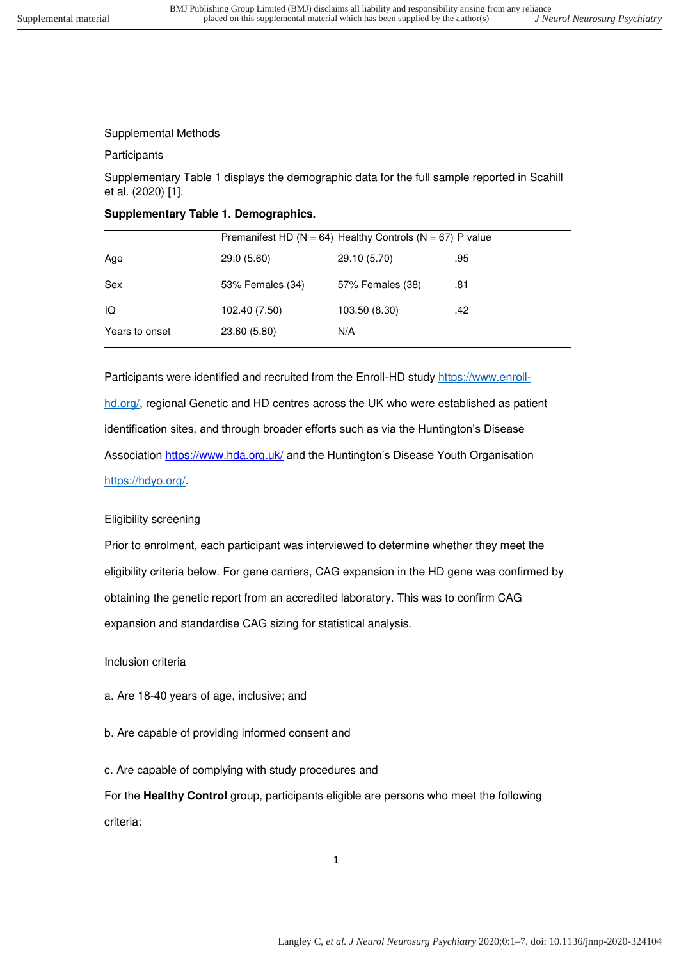### Supplemental Methods

#### **Participants**

Supplementary Table 1 displays the demographic data for the full sample reported in Scahill et al. (2020) [1].

### **Supplementary Table 1. Demographics.**

|                | Premanifest HD ( $N = 64$ ) Healthy Controls ( $N = 67$ ) P value |                  |     |  |
|----------------|-------------------------------------------------------------------|------------------|-----|--|
| Age            | 29.0 (5.60)                                                       | 29.10 (5.70)     | .95 |  |
| Sex            | 53% Females (34)                                                  | 57% Females (38) | .81 |  |
| IQ             | 102.40 (7.50)                                                     | 103.50 (8.30)    | .42 |  |
| Years to onset | 23.60 (5.80)                                                      | N/A              |     |  |

Participants were identified and recruited from the Enroll-HD study [https://www.enroll](https://www.enroll-hd.org/)[hd.org/,](https://www.enroll-hd.org/) regional Genetic and HD centres across the UK who were established as patient identification sites, and through broader efforts such as via the Huntington's Disease Association<https://www.hda.org.uk/> and the Huntington's Disease Youth Organisation [https://hdyo.org/.](https://hdyo.org/)

# Eligibility screening

Prior to enrolment, each participant was interviewed to determine whether they meet the eligibility criteria below. For gene carriers, CAG expansion in the HD gene was confirmed by obtaining the genetic report from an accredited laboratory. This was to confirm CAG expansion and standardise CAG sizing for statistical analysis.

Inclusion criteria

a. Are 18-40 years of age, inclusive; and

- b. Are capable of providing informed consent and
- c. Are capable of complying with study procedures and

For the **Healthy Control** group, participants eligible are persons who meet the following criteria: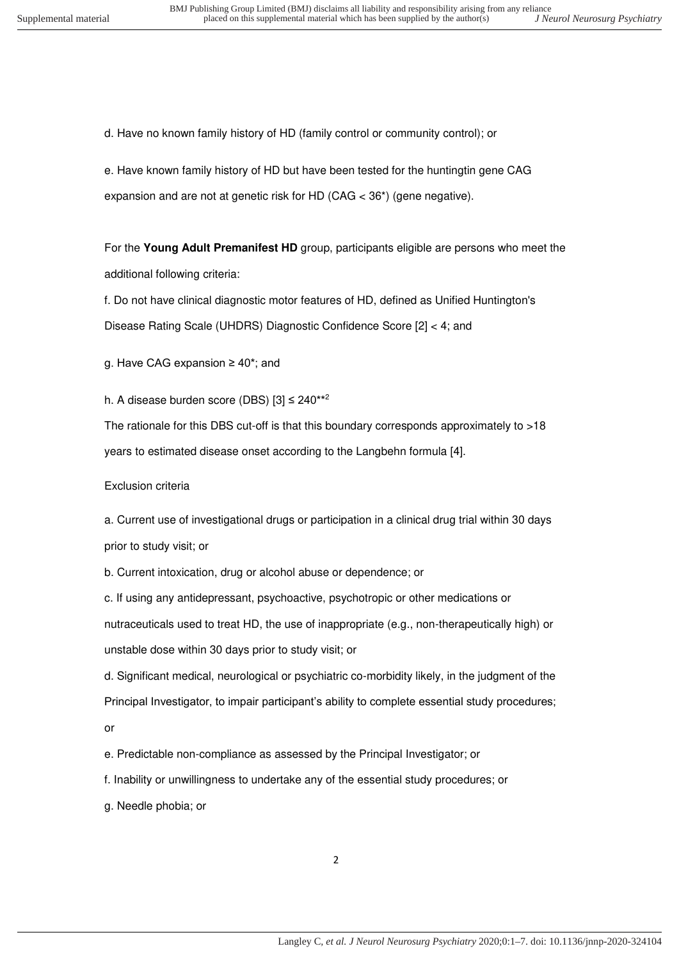d. Have no known family history of HD (family control or community control); or

e. Have known family history of HD but have been tested for the huntingtin gene CAG expansion and are not at genetic risk for HD (CAG < 36\*) (gene negative).

For the **Young Adult Premanifest HD** group, participants eligible are persons who meet the additional following criteria:

f. Do not have clinical diagnostic motor features of HD, defined as Unified Huntington's Disease Rating Scale (UHDRS) Diagnostic Confidence Score [2] < 4; and

g. Have CAG expansion ≥ 40\*; and

h. A disease burden score (DBS)  $[3] \leq 240***^2$ 

The rationale for this DBS cut-off is that this boundary corresponds approximately to >18 years to estimated disease onset according to the Langbehn formula [4].

#### Exclusion criteria

a. Current use of investigational drugs or participation in a clinical drug trial within 30 days prior to study visit; or

b. Current intoxication, drug or alcohol abuse or dependence; or

c. If using any antidepressant, psychoactive, psychotropic or other medications or nutraceuticals used to treat HD, the use of inappropriate (e.g., non-therapeutically high) or unstable dose within 30 days prior to study visit; or

d. Significant medical, neurological or psychiatric co-morbidity likely, in the judgment of the Principal Investigator, to impair participant's ability to complete essential study procedures; or

e. Predictable non-compliance as assessed by the Principal Investigator; or

f. Inability or unwillingness to undertake any of the essential study procedures; or

g. Needle phobia; or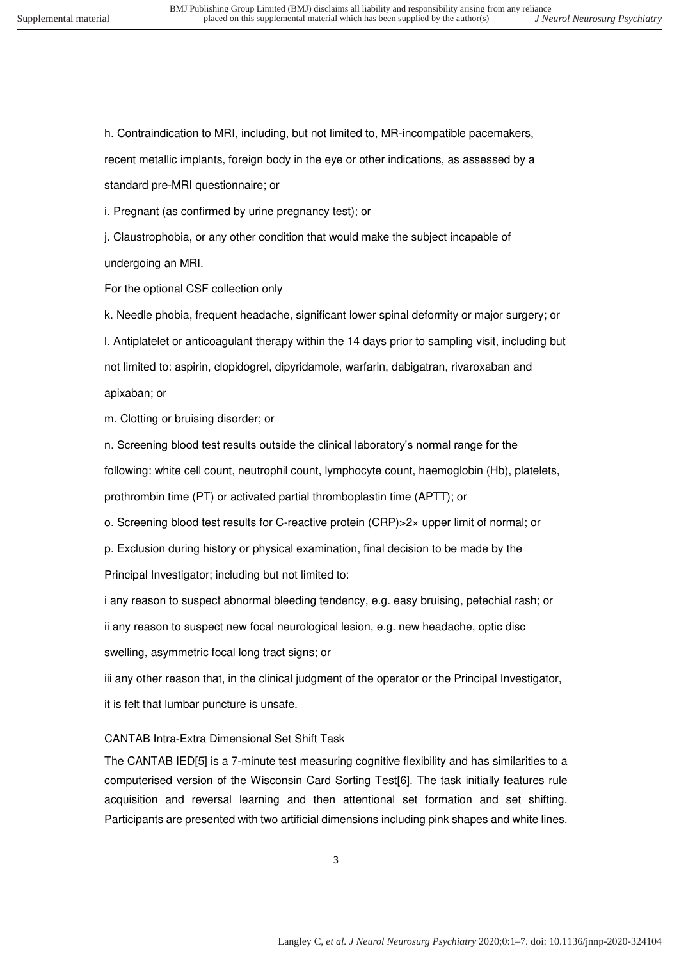h. Contraindication to MRI, including, but not limited to, MR-incompatible pacemakers,

recent metallic implants, foreign body in the eye or other indications, as assessed by a

standard pre-MRI questionnaire; or

i. Pregnant (as confirmed by urine pregnancy test); or

j. Claustrophobia, or any other condition that would make the subject incapable of undergoing an MRI.

For the optional CSF collection only

k. Needle phobia, frequent headache, significant lower spinal deformity or major surgery; or l. Antiplatelet or anticoagulant therapy within the 14 days prior to sampling visit, including but not limited to: aspirin, clopidogrel, dipyridamole, warfarin, dabigatran, rivaroxaban and apixaban; or

m. Clotting or bruising disorder; or

n. Screening blood test results outside the clinical laboratory's normal range for the following: white cell count, neutrophil count, lymphocyte count, haemoglobin (Hb), platelets, prothrombin time (PT) or activated partial thromboplastin time (APTT); or

o. Screening blood test results for C-reactive protein (CRP)>2× upper limit of normal; or

p. Exclusion during history or physical examination, final decision to be made by the Principal Investigator; including but not limited to:

i any reason to suspect abnormal bleeding tendency, e.g. easy bruising, petechial rash; or

ii any reason to suspect new focal neurological lesion, e.g. new headache, optic disc swelling, asymmetric focal long tract signs; or

iii any other reason that, in the clinical judgment of the operator or the Principal Investigator, it is felt that lumbar puncture is unsafe.

CANTAB Intra-Extra Dimensional Set Shift Task

The CANTAB IED[5] is a 7-minute test measuring cognitive flexibility and has similarities to a computerised version of the Wisconsin Card Sorting Test[6]. The task initially features rule acquisition and reversal learning and then attentional set formation and set shifting. Participants are presented with two artificial dimensions including pink shapes and white lines.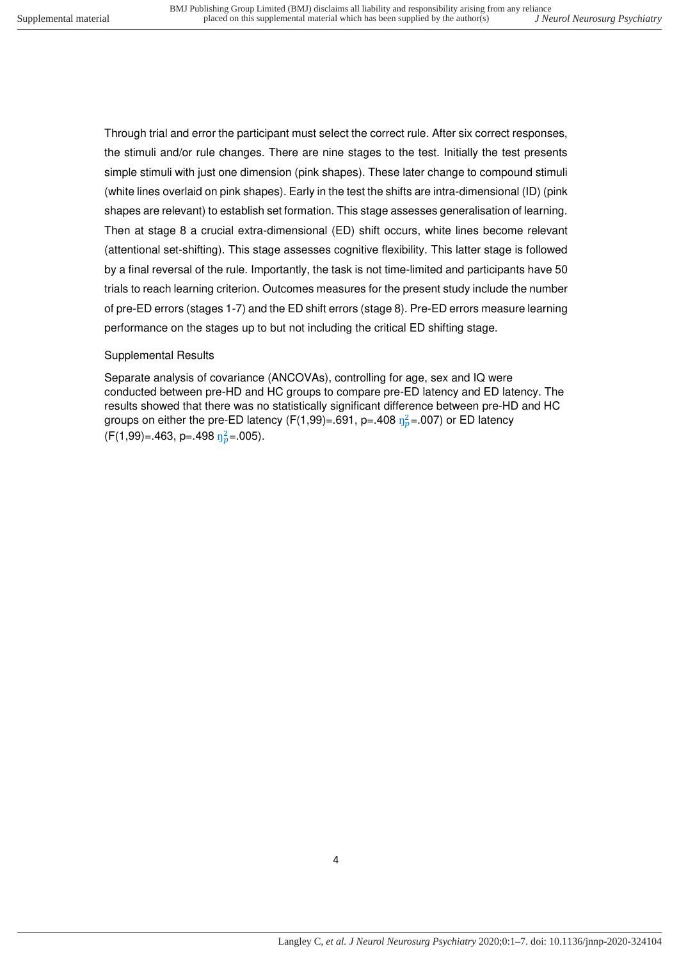Through trial and error the participant must select the correct rule. After six correct responses, the stimuli and/or rule changes. There are nine stages to the test. Initially the test presents simple stimuli with just one dimension (pink shapes). These later change to compound stimuli (white lines overlaid on pink shapes). Early in the test the shifts are intra-dimensional (ID) (pink shapes are relevant) to establish set formation. This stage assesses generalisation of learning. Then at stage 8 a crucial extra-dimensional (ED) shift occurs, white lines become relevant (attentional set-shifting). This stage assesses cognitive flexibility. This latter stage is followed by a final reversal of the rule. Importantly, the task is not time-limited and participants have 50 trials to reach learning criterion. Outcomes measures for the present study include the number of pre-ED errors (stages 1-7) and the ED shift errors (stage 8). Pre-ED errors measure learning performance on the stages up to but not including the critical ED shifting stage.

# Supplemental Results

Separate analysis of covariance (ANCOVAs), controlling for age, sex and IQ were conducted between pre-HD and HC groups to compare pre-ED latency and ED latency. The results showed that there was no statistically significant difference between pre-HD and HC groups on either the pre-ED latency (F(1,99)=.691, p=.408  $\eta_p^2$ =.007) or ED latency  $(F(1, 99) = .463, p = .498 \eta_p^2 = .005).$ 

4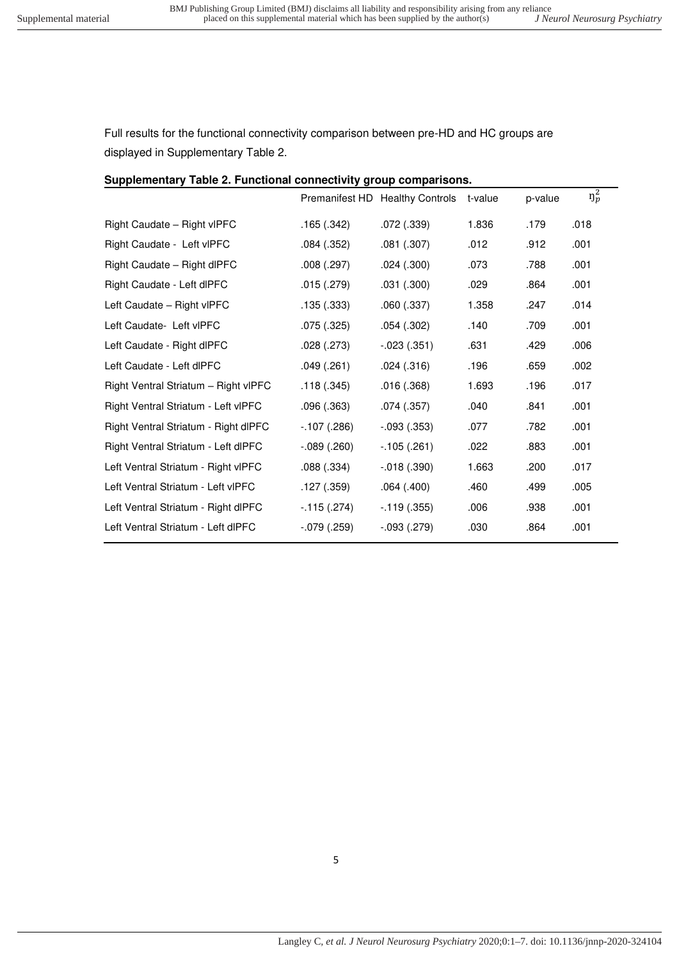Full results for the functional connectivity comparison between pre-HD and HC groups are displayed in Supplementary Table 2.

| Supplementary Table 2. Functional connectivity group comparisons. |                   |                                 |         |         |            |  |  |
|-------------------------------------------------------------------|-------------------|---------------------------------|---------|---------|------------|--|--|
|                                                                   |                   | Premanifest HD Healthy Controls | t-value | p-value | $\eta_p^2$ |  |  |
| Right Caudate - Right vIPFC                                       | .165(.342)        | .072(.339)                      | 1.836   | .179    | .018       |  |  |
| Right Caudate - Left vIPFC                                        | .084(.352)        | .081(.307)                      | .012    | .912    | .001       |  |  |
| Right Caudate - Right dlPFC                                       | .008(.297)        | .024(.300)                      | .073    | .788    | .001       |  |  |
| Right Caudate - Left dlPFC                                        | .015(.279)        | .031(.300)                      | .029    | .864    | .001       |  |  |
| Left Caudate - Right vIPFC                                        | .135(.333)        | .060(.337)                      | 1.358   | .247    | .014       |  |  |
| Left Caudate- Left vIPFC                                          | .075(.325)        | .054(.302)                      | .140    | .709    | .001       |  |  |
| Left Caudate - Right dlPFC                                        | .028(.273)        | $-.023(.351)$                   | .631    | .429    | .006       |  |  |
| Left Caudate - Left dlPFC                                         | .049(.261)        | .024(.316)                      | .196    | .659    | .002       |  |  |
| Right Ventral Striatum - Right vIPFC                              | .118(.345)        | .016(.368)                      | 1.693   | .196    | .017       |  |  |
| Right Ventral Striatum - Left vIPFC                               | .096(.363)        | .074(.357)                      | .040    | .841    | .001       |  |  |
| Right Ventral Striatum - Right dlPFC                              | $-.107(.286)$     | $-.093(.353)$                   | .077    | .782    | .001       |  |  |
| Right Ventral Striatum - Left dlPFC                               | $-0.089$ $(.260)$ | $-.105(.261)$                   | .022    | .883    | .001       |  |  |
| Left Ventral Striatum - Right vIPFC                               | .088(.334)        | $-.018(.390)$                   | 1.663   | .200    | .017       |  |  |
| Left Ventral Striatum - Left vIPFC                                | .127(.359)        | .064(.400)                      | .460    | .499    | .005       |  |  |
| Left Ventral Striatum - Right dlPFC                               | $-.115(.274)$     | $-.119(.355)$                   | .006    | .938    | .001       |  |  |
| Left Ventral Striatum - Left dlPFC                                | $-.079(.259)$     | $-.093(.279)$                   | .030    | .864    | .001       |  |  |

#### 5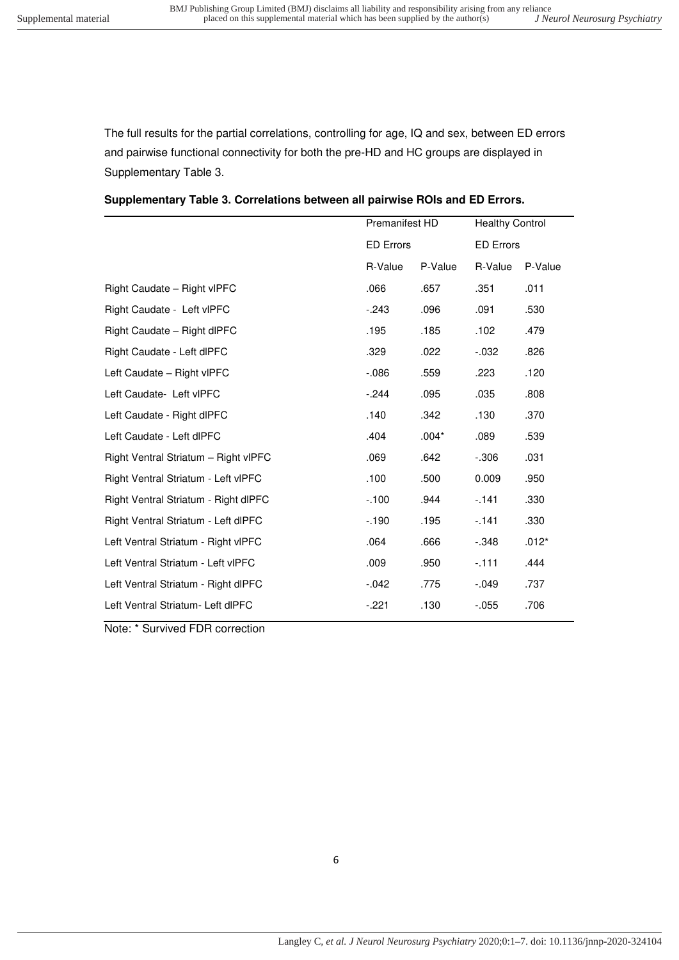The full results for the partial correlations, controlling for age, IQ and sex, between ED errors and pairwise functional connectivity for both the pre-HD and HC groups are displayed in Supplementary Table 3.

|  |  | Supplementary Table 3. Correlations between all pairwise ROIs and ED Errors. |  |  |  |
|--|--|------------------------------------------------------------------------------|--|--|--|
|--|--|------------------------------------------------------------------------------|--|--|--|

| Premanifest HD<br><b>ED Errors</b> |         | <b>Healthy Control</b><br><b>ED Errors</b> |         |
|------------------------------------|---------|--------------------------------------------|---------|
|                                    |         |                                            |         |
| .066                               | .657    | .351                                       | .011    |
| $-243$                             | .096    | .091                                       | .530    |
| .195                               | .185    | .102                                       | .479    |
| .329                               | .022    | $-0.032$                                   | .826    |
| $-0.086$                           | .559    | .223                                       | .120    |
| $-244$                             | .095    | .035                                       | .808    |
| .140                               | .342    | .130                                       | .370    |
| .404                               | $.004*$ | .089                                       | .539    |
| .069                               | .642    | $-0.306$                                   | .031    |
| .100                               | .500    | 0.009                                      | .950    |
| $-100$                             | .944    | $-141$                                     | .330    |
| $-190$                             | .195    | $-141$                                     | .330    |
| .064                               | .666    | $-.348$                                    | $.012*$ |
| .009                               | .950    | $-111$                                     | .444    |
| $-042$                             | .775    | $-.049$                                    | .737    |
| $-.221$                            | .130    | $-0.055$                                   | .706    |
|                                    |         |                                            |         |

Note: \* Survived FDR correction